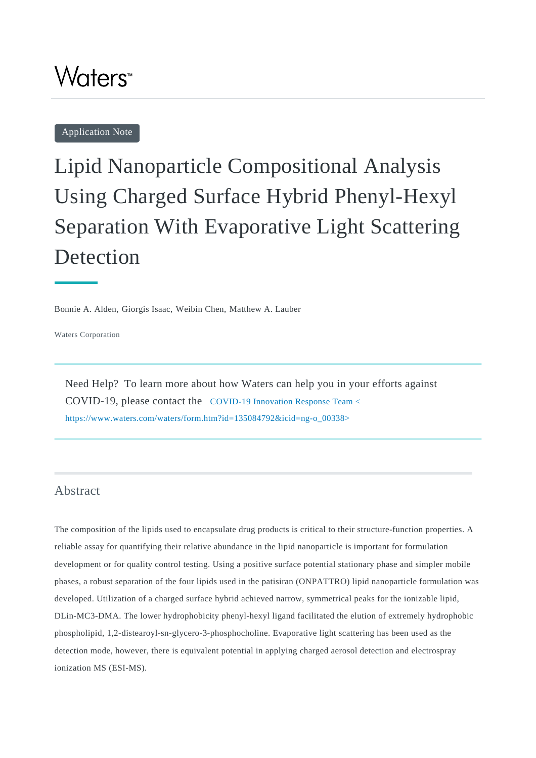## Waters<sup>™</sup>

Application Note

# Lipid Nanoparticle Compositional Analysis Using Charged Surface Hybrid Phenyl-Hexyl Separation With Evaporative Light Scattering Detection

Bonnie A. Alden, Giorgis Isaac, Weibin Chen, Matthew A. Lauber

Waters Corporation

Need Help? To learn more about how Waters can help you in your efforts against COVID-19, please contact the [COVID-19 Innovation Response Team <](https://www.waters.com/waters/form.htm?id=135084792&icid=ng-o_00338) [https://www.waters.com/waters/form.htm?id=135084792&icid=ng-o\\_00338>](https://www.waters.com/waters/form.htm?id=135084792&icid=ng-o_00338)

## Abstract

The composition of the lipids used to encapsulate drug products is critical to their structure-function properties. A reliable assay for quantifying their relative abundance in the lipid nanoparticle is important for formulation development or for quality control testing. Using a positive surface potential stationary phase and simpler mobile phases, a robust separation of the four lipids used in the patisiran (ONPATTRO) lipid nanoparticle formulation was developed. Utilization of a charged surface hybrid achieved narrow, symmetrical peaks for the ionizable lipid, DLin-MC3-DMA. The lower hydrophobicity phenyl-hexyl ligand facilitated the elution of extremely hydrophobic phospholipid, 1,2-distearoyl-sn-glycero-3-phosphocholine. Evaporative light scattering has been used as the detection mode, however, there is equivalent potential in applying charged aerosol detection and electrospray ionization MS (ESI-MS).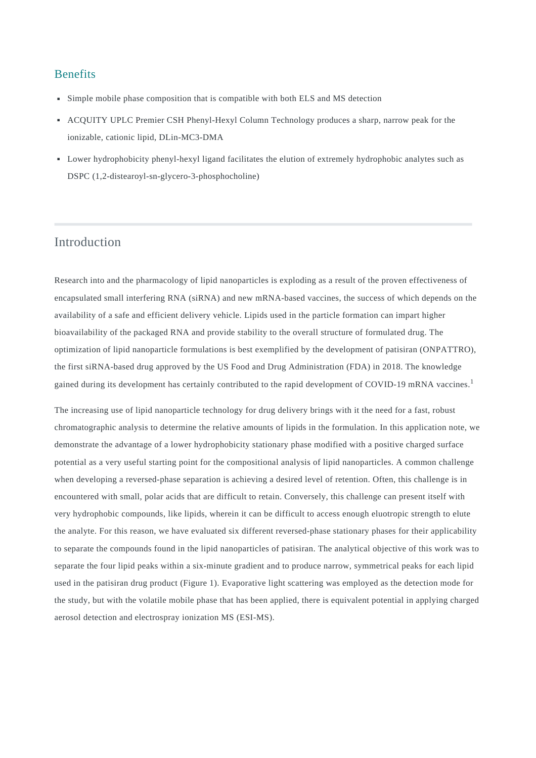#### Benefits

- Simple mobile phase composition that is compatible with both ELS and MS detection
- ACQUITY UPLC Premier CSH Phenyl-Hexyl Column Technology produces a sharp, narrow peak for the ionizable, cationic lipid, DLin-MC3-DMA
- Lower hydrophobicity phenyl-hexyl ligand facilitates the elution of extremely hydrophobic analytes such as DSPC (1,2-distearoyl-sn-glycero-3-phosphocholine)

## Introduction

Research into and the pharmacology of lipid nanoparticles is exploding as a result of the proven effectiveness of encapsulated small interfering RNA (siRNA) and new mRNA-based vaccines, the success of which depends on the availability of a safe and efficient delivery vehicle. Lipids used in the particle formation can impart higher bioavailability of the packaged RNA and provide stability to the overall structure of formulated drug. The optimization of lipid nanoparticle formulations is best exemplified by the development of patisiran (ONPATTRO), the first siRNA-based drug approved by the US Food and Drug Administration (FDA) in 2018. The knowledge gained during its development has certainly contributed to the rapid development of COVID-19 mRNA vaccines.<sup>1</sup>

The increasing use of lipid nanoparticle technology for drug delivery brings with it the need for a fast, robust chromatographic analysis to determine the relative amounts of lipids in the formulation. In this application note, we demonstrate the advantage of a lower hydrophobicity stationary phase modified with a positive charged surface potential as a very useful starting point for the compositional analysis of lipid nanoparticles. A common challenge when developing a reversed-phase separation is achieving a desired level of retention. Often, this challenge is in encountered with small, polar acids that are difficult to retain. Conversely, this challenge can present itself with very hydrophobic compounds, like lipids, wherein it can be difficult to access enough eluotropic strength to elute the analyte. For this reason, we have evaluated six different reversed-phase stationary phases for their applicability to separate the compounds found in the lipid nanoparticles of patisiran. The analytical objective of this work was to separate the four lipid peaks within a six-minute gradient and to produce narrow, symmetrical peaks for each lipid used in the patisiran drug product (Figure 1). Evaporative light scattering was employed as the detection mode for the study, but with the volatile mobile phase that has been applied, there is equivalent potential in applying charged aerosol detection and electrospray ionization MS (ESI-MS).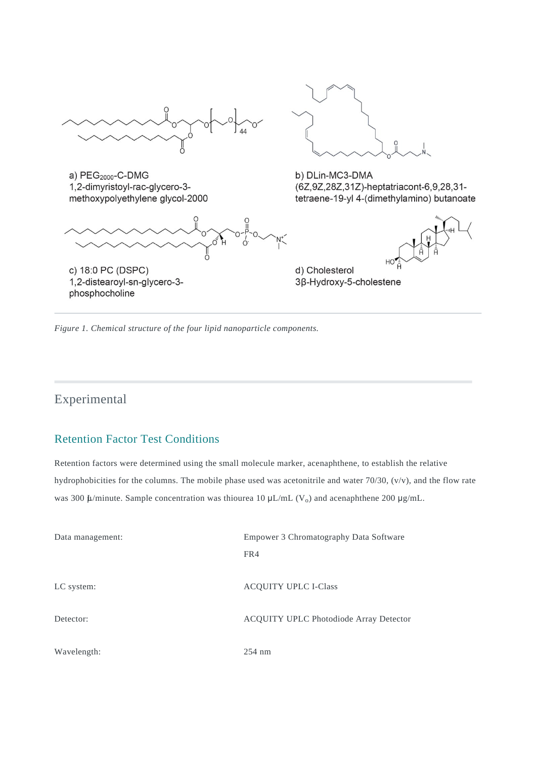

a) PEG<sub>2000</sub>-C-DMG 1,2-dimyristoyl-rac-glycero-3methoxypolyethylene glycol-2000



1,2-distearoyl-sn-glycero-3phosphocholine



b) DLin-MC3-DMA (6Z,9Z,28Z,31Z)-heptatriacont-6,9,28,31tetraene-19-yl 4-(dimethylamino) butanoate



d) Cholesterol 3β-Hydroxy-5-cholestene

*Figure 1. Chemical structure of the four lipid nanoparticle components.*

## Experimental

## Retention Factor Test Conditions

Retention factors were determined using the small molecule marker, acenaphthene, to establish the relative hydrophobicities for the columns. The mobile phase used was acetonitrile and water 70/30, (v/v), and the flow rate was 300  $\mu$ /minute. Sample concentration was thiourea 10  $\mu$ L/mL (V<sub>o</sub>) and acenaphthene 200  $\mu$ g/mL.

| Data management: | Empower 3 Chromatography Data Software |  |
|------------------|----------------------------------------|--|
|                  | FR4                                    |  |
|                  |                                        |  |
| LC system:       | <b>ACQUITY UPLC I-Class</b>            |  |
|                  |                                        |  |
| Detector:        | ACQUITY UPLC Photodiode Array Detector |  |
|                  |                                        |  |
| Wavelength:      | $254 \text{ nm}$                       |  |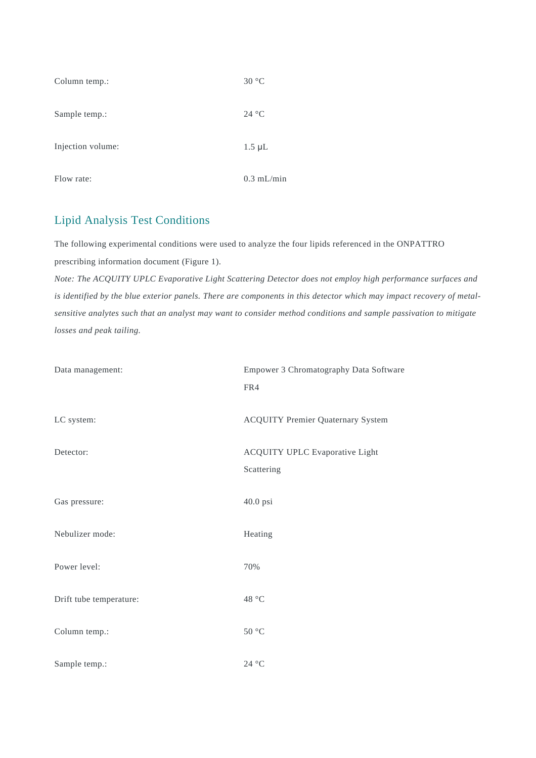| Column temp.:     | 30 °C        |
|-------------------|--------------|
| Sample temp.:     | 24 °C        |
| Injection volume: | $1.5 \mu L$  |
| Flow rate:        | $0.3$ mL/min |

## Lipid Analysis Test Conditions

The following experimental conditions were used to analyze the four lipids referenced in the ONPATTRO prescribing information document (Figure 1).

*Note: The ACQUITY UPLC Evaporative Light Scattering Detector does not employ high performance surfaces and is identified by the blue exterior panels. There are components in this detector which may impact recovery of metalsensitive analytes such that an analyst may want to consider method conditions and sample passivation to mitigate losses and peak tailing.*

| Data management:        | Empower 3 Chromatography Data Software<br>FR4       |
|-------------------------|-----------------------------------------------------|
| LC system:              | <b>ACQUITY Premier Quaternary System</b>            |
| Detector:               | <b>ACQUITY UPLC Evaporative Light</b><br>Scattering |
| Gas pressure:           | 40.0 psi                                            |
| Nebulizer mode:         | Heating                                             |
| Power level:            | 70%                                                 |
| Drift tube temperature: | 48 °C                                               |
| Column temp.:           | $50\ ^{\circ}\textrm{C}$                            |
| Sample temp.:           | $24~^\circ\mathrm{C}$                               |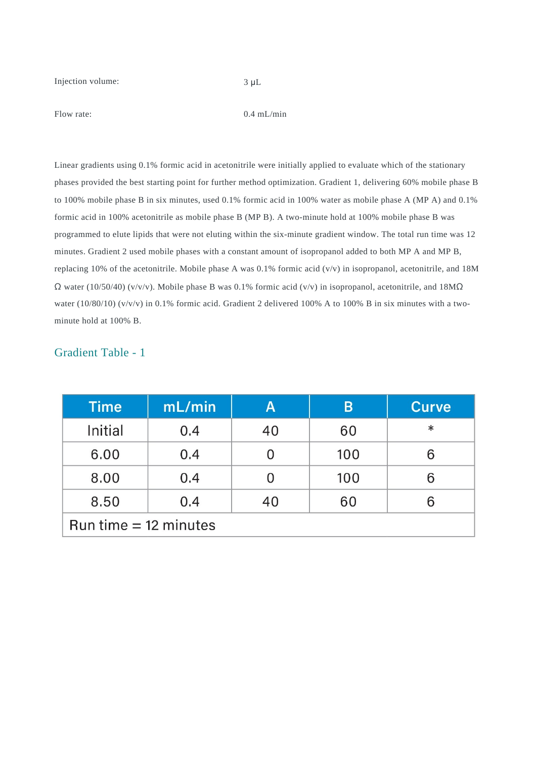Injection volume: 3 μL

Flow rate: 0.4 mL/min

Linear gradients using 0.1% formic acid in acetonitrile were initially applied to evaluate which of the stationary phases provided the best starting point for further method optimization. Gradient 1, delivering 60% mobile phase B to 100% mobile phase B in six minutes, used 0.1% formic acid in 100% water as mobile phase A (MP A) and 0.1% formic acid in 100% acetonitrile as mobile phase B (MP B). A two-minute hold at 100% mobile phase B was programmed to elute lipids that were not eluting within the six-minute gradient window. The total run time was 12 minutes. Gradient 2 used mobile phases with a constant amount of isopropanol added to both MP A and MP B, replacing 10% of the acetonitrile. Mobile phase A was 0.1% formic acid (v/v) in isopropanol, acetonitrile, and 18M  $\Omega$  water (10/50/40) (v/v/v). Mobile phase B was 0.1% formic acid (v/v) in isopropanol, acetonitrile, and 18M $\Omega$ water (10/80/10) (v/v/v) in 0.1% formic acid. Gradient 2 delivered 100% A to 100% B in six minutes with a twominute hold at 100% B.

### Gradient Table - 1

| <b>Time</b>             | mL/min | Α  | B   | <b>Curve</b> |
|-------------------------|--------|----|-----|--------------|
| Initial                 | 0.4    | 40 | 60  | $\ast$       |
| 6.00                    | 0.4    |    | 100 |              |
| 8.00                    | 0.4    |    | 100 | 6            |
| 8.50                    | 0.4    | 40 | 60  |              |
| Run time $= 12$ minutes |        |    |     |              |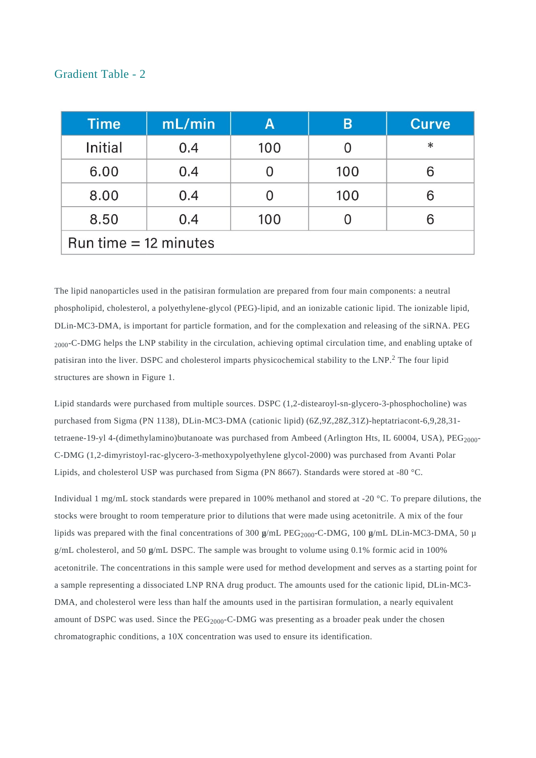#### Gradient Table - 2

| <b>Time</b>             | mL/min | Α   | B   | <b>Curve</b> |
|-------------------------|--------|-----|-----|--------------|
| Initial                 | 0.4    | 100 |     | $\ast$       |
| 6.00                    | 0.4    |     | 100 | 6            |
| 8.00                    | 0.4    |     | 100 | 6            |
| 8.50                    | 0.4    | 100 |     | 6            |
| Run time $= 12$ minutes |        |     |     |              |

The lipid nanoparticles used in the patisiran formulation are prepared from four main components: a neutral phospholipid, cholesterol, a polyethylene-glycol (PEG)-lipid, and an ionizable cationic lipid. The ionizable lipid, DLin-MC3-DMA, is important for particle formation, and for the complexation and releasing of the siRNA. PEG <sub>2000</sub>-C-DMG helps the LNP stability in the circulation, achieving optimal circulation time, and enabling uptake of patisiran into the liver. DSPC and cholesterol imparts physicochemical stability to the LNP.<sup>2</sup> The four lipid structures are shown in Figure 1.

Lipid standards were purchased from multiple sources. DSPC (1,2-distearoyl-sn-glycero-3-phosphocholine) was purchased from Sigma (PN 1138), DLin-MC3-DMA (cationic lipid) (6Z,9Z,28Z,31Z)-heptatriacont-6,9,28,31 tetraene-19-yl 4-(dimethylamino)butanoate was purchased from Ambeed (Arlington Hts, IL 60004, USA),  $PEG<sub>2000</sub>$ -C-DMG (1,2-dimyristoyl-rac-glycero-3-methoxypolyethylene glycol-2000) was purchased from Avanti Polar Lipids, and cholesterol USP was purchased from Sigma (PN 8667). Standards were stored at -80 °C.

Individual 1 mg/mL stock standards were prepared in 100% methanol and stored at -20 °C. To prepare dilutions, the stocks were brought to room temperature prior to dilutions that were made using acetonitrile. A mix of the four lipids was prepared with the final concentrations of 300  $\mu$ /mL PEG<sub>2000</sub>-C-DMG, 100  $\mu$ /mL DLin-MC3-DMA, 50  $\mu$  $g/mL$  cholesterol, and 50  $g/mL$  DSPC. The sample was brought to volume using 0.1% formic acid in 100% acetonitrile. The concentrations in this sample were used for method development and serves as a starting point for a sample representing a dissociated LNP RNA drug product. The amounts used for the cationic lipid, DLin-MC3- DMA, and cholesterol were less than half the amounts used in the partisiran formulation, a nearly equivalent amount of DSPC was used. Since the PEG<sub>2000</sub>-C-DMG was presenting as a broader peak under the chosen chromatographic conditions, a 10X concentration was used to ensure its identification.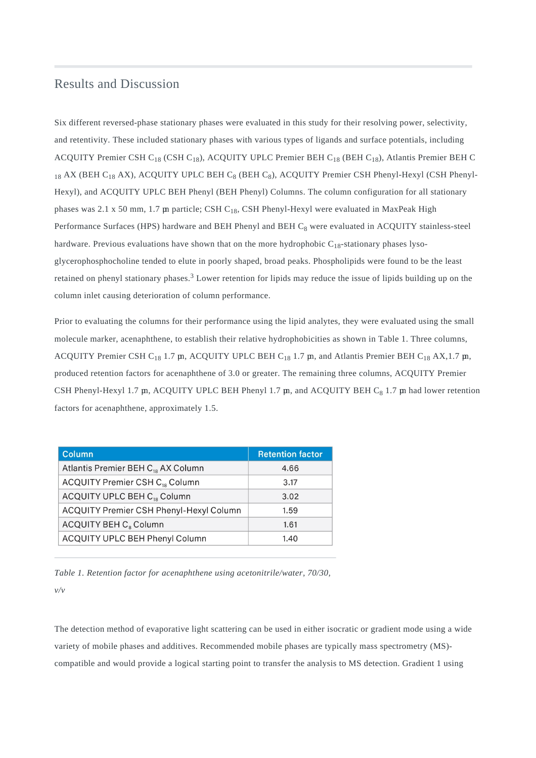#### Results and Discussion

Six different reversed-phase stationary phases were evaluated in this study for their resolving power, selectivity, and retentivity. These included stationary phases with various types of ligands and surface potentials, including ACQUITY Premier CSH C<sub>18</sub> (CSH C<sub>18</sub>), ACQUITY UPLC Premier BEH C<sub>18</sub> (BEH C<sub>18</sub>), Atlantis Premier BEH C 18 AX (BEH C<sub>18</sub> AX), ACQUITY UPLC BEH C<sub>8</sub> (BEH C<sub>8</sub>), ACQUITY Premier CSH Phenyl-Hexyl (CSH Phenyl-Hexyl), and ACQUITY UPLC BEH Phenyl (BEH Phenyl) Columns. The column configuration for all stationary phases was 2.1 x 50 mm, 1.7 m particle; CSH C<sub>18</sub>, CSH Phenyl-Hexyl were evaluated in MaxPeak High Performance Surfaces (HPS) hardware and BEH Phenyl and BEH C<sub>8</sub> were evaluated in ACQUITY stainless-steel hardware. Previous evaluations have shown that on the more hydrophobic  $C_{18}$ -stationary phases lysoglycerophosphocholine tended to elute in poorly shaped, broad peaks. Phospholipids were found to be the least retained on phenyl stationary phases.<sup>3</sup> Lower retention for lipids may reduce the issue of lipids building up on the column inlet causing deterioration of column performance.

Prior to evaluating the columns for their performance using the lipid analytes, they were evaluated using the small molecule marker, acenaphthene, to establish their relative hydrophobicities as shown in Table 1. Three columns, ACQUITY Premier CSH  $C_{18}$  1.7  $\mu$ , ACQUITY UPLC BEH  $C_{18}$  1.7  $\mu$ , and Atlantis Premier BEH  $C_{18}$  AX,1.7  $\mu$ , produced retention factors for acenaphthene of 3.0 or greater. The remaining three columns, ACQUITY Premier CSH Phenyl-Hexyl 1.7  $\mu$ , ACQUITY UPLC BEH Phenyl 1.7  $\mu$ , and ACQUITY BEH C<sub>8</sub> 1.7  $\mu$  had lower retention factors for acenaphthene, approximately 1.5.

| <b>Column</b>                                  | <b>Retention factor</b> |
|------------------------------------------------|-------------------------|
| Atlantis Premier BEH C <sub>18</sub> AX Column | 4.66                    |
| ACQUITY Premier CSH C <sub>18</sub> Column     | 3.17                    |
| ACQUITY UPLC BEH C <sub>18</sub> Column        | 3.02                    |
| ACQUITY Premier CSH Phenyl-Hexyl Column        | 1.59                    |
| ACQUITY BEH C <sub>8</sub> Column              | 1.61                    |
| ACQUITY UPLC BEH Phenyl Column                 | 1.40                    |

*Table 1. Retention factor for acenaphthene using acetonitrile/water, 70/30, v/v*

The detection method of evaporative light scattering can be used in either isocratic or gradient mode using a wide variety of mobile phases and additives. Recommended mobile phases are typically mass spectrometry (MS) compatible and would provide a logical starting point to transfer the analysis to MS detection. Gradient 1 using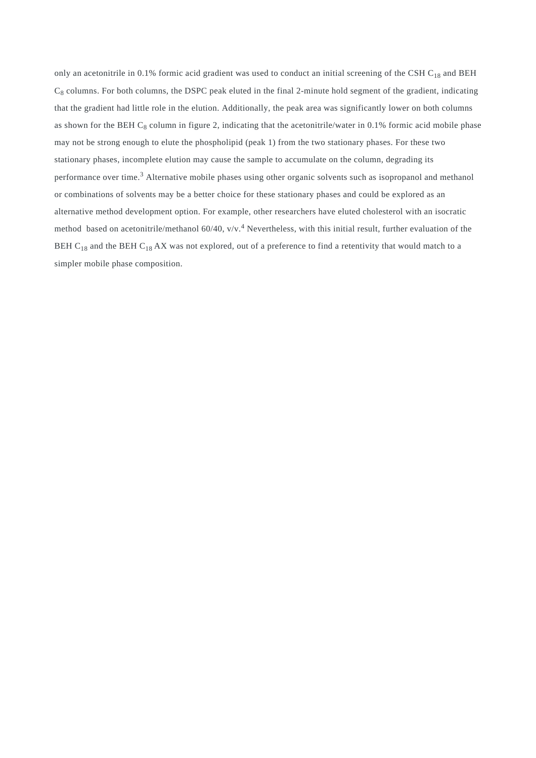only an acetonitrile in 0.1% formic acid gradient was used to conduct an initial screening of the CSH C<sub>18</sub> and BEH  $C_8$  columns. For both columns, the DSPC peak eluted in the final 2-minute hold segment of the gradient, indicating that the gradient had little role in the elution. Additionally, the peak area was significantly lower on both columns as shown for the BEH  $C_8$  column in figure 2, indicating that the acetonitrile/water in 0.1% formic acid mobile phase may not be strong enough to elute the phospholipid (peak 1) from the two stationary phases. For these two stationary phases, incomplete elution may cause the sample to accumulate on the column, degrading its performance over time.<sup>3</sup> Alternative mobile phases using other organic solvents such as isopropanol and methanol or combinations of solvents may be a better choice for these stationary phases and could be explored as an alternative method development option. For example, other researchers have eluted cholesterol with an isocratic method based on acetonitrile/methanol 60/40, v/v.<sup>4</sup> Nevertheless, with this initial result, further evaluation of the BEH C<sub>18</sub> and the BEH C<sub>18</sub> AX was not explored, out of a preference to find a retentivity that would match to a simpler mobile phase composition.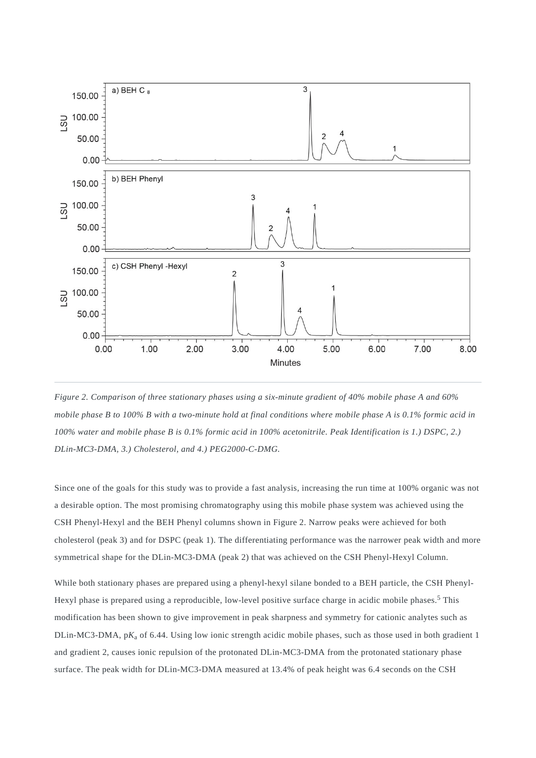

*Figure 2. Comparison of three stationary phases using a six-minute gradient of 40% mobile phase A and 60% mobile phase B to 100% B with a two-minute hold at final conditions where mobile phase A is 0.1% formic acid in 100% water and mobile phase B is 0.1% formic acid in 100% acetonitrile. Peak Identification is 1.) DSPC, 2.) DLin-MC3-DMA, 3.) Cholesterol, and 4.) PEG2000-C-DMG.*

Since one of the goals for this study was to provide a fast analysis, increasing the run time at 100% organic was not a desirable option. The most promising chromatography using this mobile phase system was achieved using the CSH Phenyl-Hexyl and the BEH Phenyl columns shown in Figure 2. Narrow peaks were achieved for both cholesterol (peak 3) and for DSPC (peak 1). The differentiating performance was the narrower peak width and more symmetrical shape for the DLin-MC3-DMA (peak 2) that was achieved on the CSH Phenyl-Hexyl Column.

While both stationary phases are prepared using a phenyl-hexyl silane bonded to a BEH particle, the CSH Phenyl-Hexyl phase is prepared using a reproducible, low-level positive surface charge in acidic mobile phases.<sup>5</sup> This modification has been shown to give improvement in peak sharpness and symmetry for cationic analytes such as DLin-MC3-DMA, pK<sub>a</sub> of 6.44. Using low ionic strength acidic mobile phases, such as those used in both gradient 1 and gradient 2, causes ionic repulsion of the protonated DLin-MC3-DMA from the protonated stationary phase surface. The peak width for DLin-MC3-DMA measured at 13.4% of peak height was 6.4 seconds on the CSH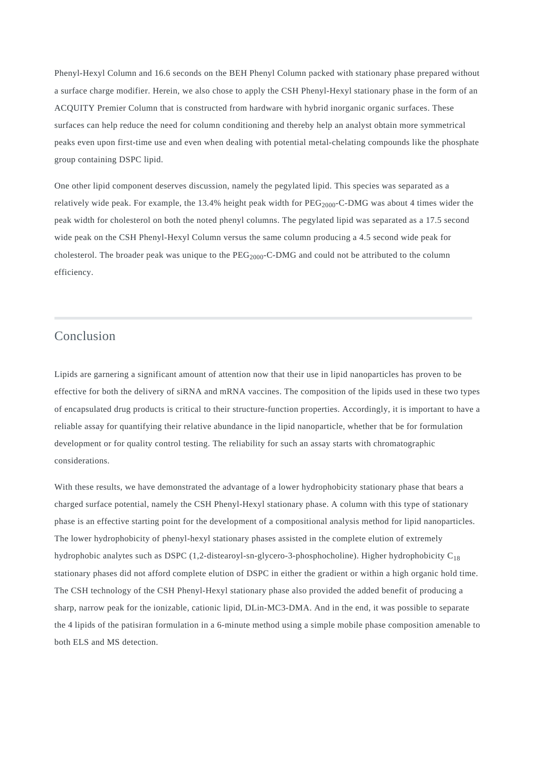Phenyl-Hexyl Column and 16.6 seconds on the BEH Phenyl Column packed with stationary phase prepared without a surface charge modifier. Herein, we also chose to apply the CSH Phenyl-Hexyl stationary phase in the form of an ACQUITY Premier Column that is constructed from hardware with hybrid inorganic organic surfaces. These surfaces can help reduce the need for column conditioning and thereby help an analyst obtain more symmetrical peaks even upon first-time use and even when dealing with potential metal-chelating compounds like the phosphate group containing DSPC lipid.

One other lipid component deserves discussion, namely the pegylated lipid. This species was separated as a relatively wide peak. For example, the 13.4% height peak width for  $PEG_{2000}$ -C-DMG was about 4 times wider the peak width for cholesterol on both the noted phenyl columns. The pegylated lipid was separated as a 17.5 second wide peak on the CSH Phenyl-Hexyl Column versus the same column producing a 4.5 second wide peak for cholesterol. The broader peak was unique to the  $PEG<sub>2000</sub>-C-DMG$  and could not be attributed to the column efficiency.

## Conclusion

Lipids are garnering a significant amount of attention now that their use in lipid nanoparticles has proven to be effective for both the delivery of siRNA and mRNA vaccines. The composition of the lipids used in these two types of encapsulated drug products is critical to their structure-function properties. Accordingly, it is important to have a reliable assay for quantifying their relative abundance in the lipid nanoparticle, whether that be for formulation development or for quality control testing. The reliability for such an assay starts with chromatographic considerations.

With these results, we have demonstrated the advantage of a lower hydrophobicity stationary phase that bears a charged surface potential, namely the CSH Phenyl-Hexyl stationary phase. A column with this type of stationary phase is an effective starting point for the development of a compositional analysis method for lipid nanoparticles. The lower hydrophobicity of phenyl-hexyl stationary phases assisted in the complete elution of extremely hydrophobic analytes such as DSPC (1,2-distearoyl-sn-glycero-3-phosphocholine). Higher hydrophobicity  $C_{18}$ stationary phases did not afford complete elution of DSPC in either the gradient or within a high organic hold time. The CSH technology of the CSH Phenyl-Hexyl stationary phase also provided the added benefit of producing a sharp, narrow peak for the ionizable, cationic lipid, DLin-MC3-DMA. And in the end, it was possible to separate the 4 lipids of the patisiran formulation in a 6-minute method using a simple mobile phase composition amenable to both ELS and MS detection.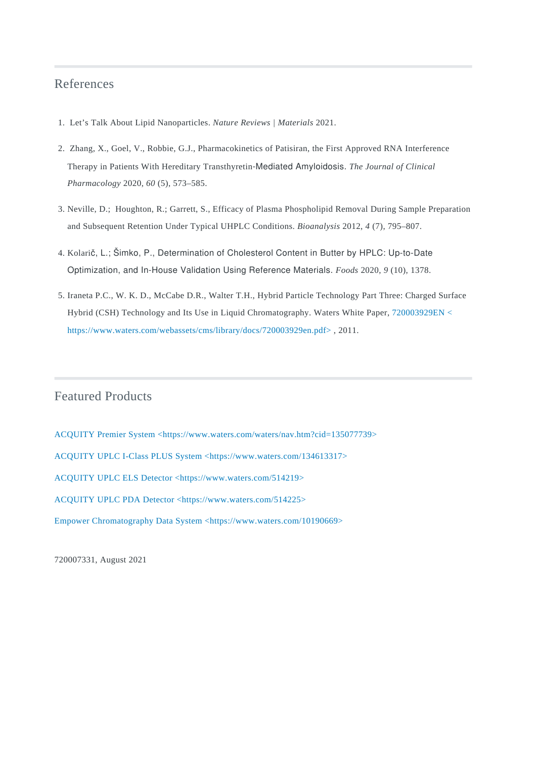#### References

- 1. Let's Talk About Lipid Nanoparticles. *Nature Reviews | Materials* 2021.
- 2. Zhang, X., Goel, V., Robbie, G.J., Pharmacokinetics of Patisiran, the First Approved RNA Interference Therapy in Patients With Hereditary Transthyretin‐Mediated Amyloidosis. *The Journal of Clinical Pharmacology* 2020, *60* (5), 573–585.
- 3. Neville, D.; Houghton, R.; Garrett, S., Efficacy of Plasma Phospholipid Removal During Sample Preparation and Subsequent Retention Under Typical UHPLC Conditions. *Bioanalysis* 2012, *4* (7), 795–807.
- 4. Kolarič, L.; Šimko, P., Determination of Cholesterol Content in Butter by HPLC: Up-to-Date Optimization, and In-House Validation Using Reference Materials. *Foods* 2020, *9* (10), 1378.
- 5. Iraneta P.C., W. K. D., McCabe D.R., Walter T.H., Hybrid Particle Technology Part Three: Charged Surface Hybrid (CSH) Technology and Its Use in Liquid Chromatography. Waters White Paper, [720003929EN <](https://www.waters.com/webassets/cms/library/docs/720003929en.pdf) [https://www.waters.com/webassets/cms/library/docs/720003929en.pdf>](https://www.waters.com/webassets/cms/library/docs/720003929en.pdf) , 2011.

## Featured Products

[ACQUITY Premier System <https://www.waters.com/waters/nav.htm?cid=135077739>](https://www.waters.com/waters/nav.htm?cid=135077739) [ACQUITY UPLC I-Class PLUS System <https://www.waters.com/134613317>](https://www.waters.com/134613317) [ACQUITY UPLC ELS Detector <https://www.waters.com/514219>](https://www.waters.com/514219) [ACQUITY UPLC PDA Detector <https://www.waters.com/514225>](https://www.waters.com/514225) [Empower Chromatography Data System <https://www.waters.com/10190669>](https://www.waters.com/10190669)

720007331, August 2021